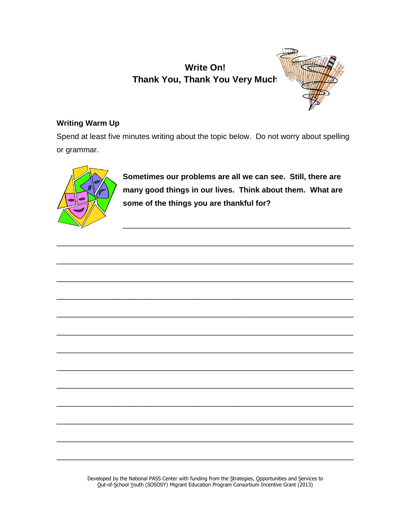# **Write On!** Thank You, Thank You Very Much



## **Writing Warm Up**

Spend at least five minutes writing about the topic below. Do not worry about spelling or grammar.



Sometimes our problems are all we can see. Still, there are many good things in our lives. Think about them. What are some of the things you are thankful for?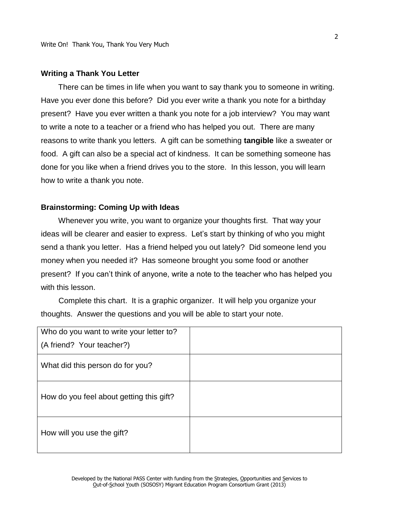#### **Writing a Thank You Letter**

There can be times in life when you want to say thank you to someone in writing. Have you ever done this before? Did you ever write a thank you note for a birthday present? Have you ever written a thank you note for a job interview? You may want to write a note to a teacher or a friend who has helped you out. There are many reasons to write thank you letters. A gift can be something **tangible** like a sweater or food. A gift can also be a special act of kindness. It can be something someone has done for you like when a friend drives you to the store. In this lesson, you will learn how to write a thank you note.

#### **Brainstorming: Coming Up with Ideas**

Whenever you write, you want to organize your thoughts first. That way your ideas will be clearer and easier to express. Let's start by thinking of who you might send a thank you letter. Has a friend helped you out lately? Did someone lend you money when you needed it? Has someone brought you some food or another present? If you can't think of anyone, write a note to the teacher who has helped you with this lesson.

Complete this chart. It is a graphic organizer. It will help you organize your thoughts. Answer the questions and you will be able to start your note.

| Who do you want to write your letter to? |  |
|------------------------------------------|--|
| (A friend? Your teacher?)                |  |
| What did this person do for you?         |  |
| How do you feel about getting this gift? |  |
| How will you use the gift?               |  |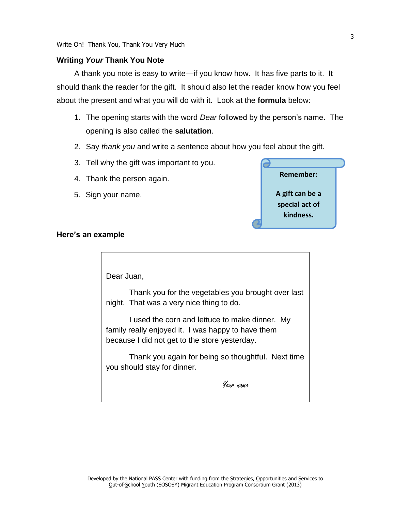Write On! Thank You, Thank You Very Much

#### **Writing** *Your* **Thank You Note**

A thank you note is easy to write—if you know how. It has five parts to it. It should thank the reader for the gift. It should also let the reader know how you feel about the present and what you will do with it. Look at the **formula** below:

- 1. The opening starts with the word *Dear* followed by the person's name. The opening is also called the **salutation**.
- 2. Say *thank you* and write a sentence about how you feel about the gift.
- 3. Tell why the gift was important to you.
- 4. Thank the person again.
- 5. Sign your name.



### **Here's an example**

Dear Juan,

Thank you for the vegetables you brought over last night. That was a very nice thing to do.

I used the corn and lettuce to make dinner. My family really enjoyed it. I was happy to have them because I did not get to the store yesterday.

Thank you again for being so thoughtful. Next time you should stay for dinner.

Your name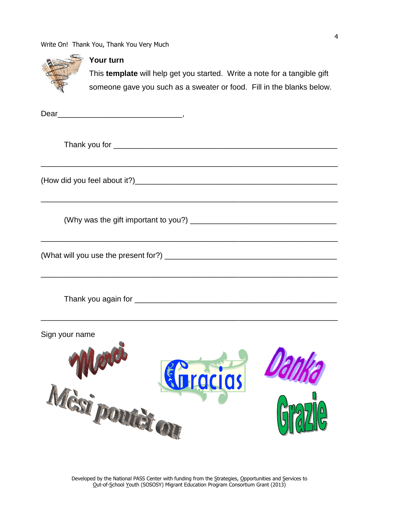Write On! Thank You, Thank You Very Much



**Your turn**

This **template** will help get you started. Write a note for a tangible gift someone gave you such as a sweater or food. Fill in the blanks below.

Dear\_\_\_\_\_\_\_\_\_\_\_\_\_\_\_\_\_\_\_\_\_\_\_\_\_\_\_\_\_,

Thank you for \_\_\_\_\_\_\_\_\_\_\_\_\_\_\_\_\_\_\_\_\_\_\_\_\_\_\_\_\_\_\_\_\_\_\_\_\_\_\_\_\_\_\_\_\_\_\_\_\_\_\_\_

\_\_\_\_\_\_\_\_\_\_\_\_\_\_\_\_\_\_\_\_\_\_\_\_\_\_\_\_\_\_\_\_\_\_\_\_\_\_\_\_\_\_\_\_\_\_\_\_\_\_\_\_\_\_\_\_\_\_\_\_\_\_\_\_\_\_\_\_\_

\_\_\_\_\_\_\_\_\_\_\_\_\_\_\_\_\_\_\_\_\_\_\_\_\_\_\_\_\_\_\_\_\_\_\_\_\_\_\_\_\_\_\_\_\_\_\_\_\_\_\_\_\_\_\_\_\_\_\_\_\_\_\_\_\_\_\_\_\_

\_\_\_\_\_\_\_\_\_\_\_\_\_\_\_\_\_\_\_\_\_\_\_\_\_\_\_\_\_\_\_\_\_\_\_\_\_\_\_\_\_\_\_\_\_\_\_\_\_\_\_\_\_\_\_\_\_\_\_\_\_\_\_\_\_\_\_\_\_

\_\_\_\_\_\_\_\_\_\_\_\_\_\_\_\_\_\_\_\_\_\_\_\_\_\_\_\_\_\_\_\_\_\_\_\_\_\_\_\_\_\_\_\_\_\_\_\_\_\_\_\_\_\_\_\_\_\_\_\_\_\_\_\_\_\_\_\_\_

\_\_\_\_\_\_\_\_\_\_\_\_\_\_\_\_\_\_\_\_\_\_\_\_\_\_\_\_\_\_\_\_\_\_\_\_\_\_\_\_\_\_\_\_\_\_\_\_\_\_\_\_\_\_\_\_\_\_\_\_\_\_\_\_\_\_\_\_\_

(How did you feel about it?)\_\_\_\_\_\_\_\_\_\_\_\_\_\_\_\_\_\_\_\_\_\_\_\_\_\_\_\_\_\_\_\_\_\_\_\_\_\_\_\_\_\_\_\_\_\_\_

(Why was the gift important to you?)  $\frac{1}{2}$  [2001]  $\frac{1}{2}$  [300]  $\frac{1}{2}$  [300]  $\frac{1}{2}$  [300]  $\frac{1}{2}$  [300]  $\frac{1}{2}$  [300]  $\frac{1}{2}$  [300]  $\frac{1}{2}$  [300]  $\frac{1}{2}$  [300]  $\frac{1}{2}$  [300]  $\frac{1}{2}$  [300]  $\frac{1}{2$ 

(What will you use the present for?) \_\_\_\_\_\_\_\_\_\_\_\_\_\_\_\_\_\_\_\_\_\_\_\_\_\_\_\_\_\_\_\_\_\_\_\_\_\_\_\_

Thank you again for **EXALL EXALL EXACUTE THANK** 

Sign your nameracias Mesi pomero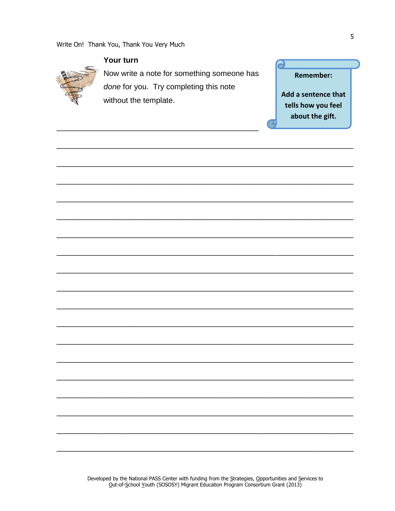Write On! Thank You, Thank You Very Much

Your turn



Now write a note for something someone has done for you. Try completing this note without the template.

**Remember:** Add a sentence that tells how you feel about the gift.

Developed by the National PASS Center with funding from the Strategies, Opportunities and Services to Out-of-School Youth (SOSOSY) Migrant Education Program Consortium Grant (2013)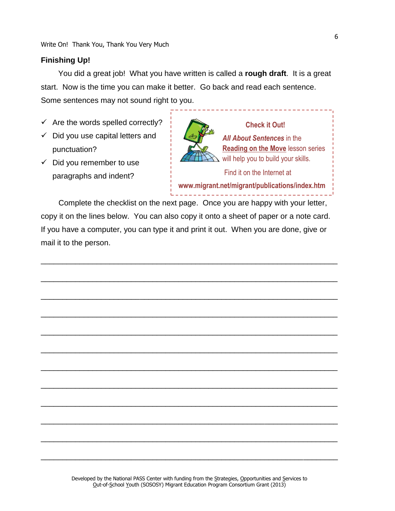## **Finishing Up!**

You did a great job! What you have written is called a **rough draft**. It is a great start. Now is the time you can make it better. Go back and read each sentence. Some sentences may not sound right to you.

- $\checkmark$  Are the words spelled correctly?
- $\checkmark$  Did you use capital letters and punctuation?
- $\checkmark$  Did you remember to use paragraphs and indent?



**Check it Out!** *All About Sentences* in the **Reading on the Move** lesson series  $\Delta$  will help you to build your skills.

\_\_\_\_\_\_\_\_\_\_\_\_\_\_\_\_\_\_

Find it on the Internet at **www.migrant.net/migrant/publications/index.htm**

Complete the checklist on the next page. Once you are happy with your letter, copy it on the lines below. You can also copy it onto a sheet of paper or a note card. If you have a computer, you can type it and print it out. When you are done, give or mail it to the person.

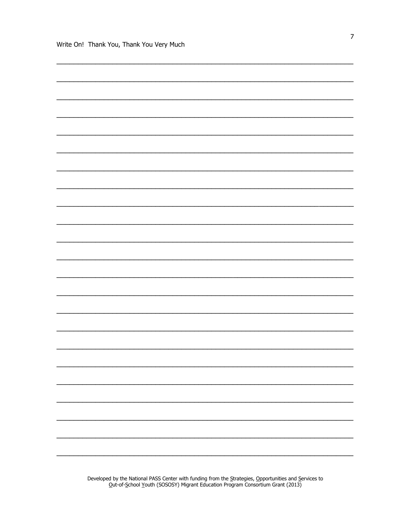Developed by the National PASS Center with funding from the Strategies, Opportunities and Services to Out-of-School Youth (SOSOSY) Migrant Education Program Consortium Grant (2013)